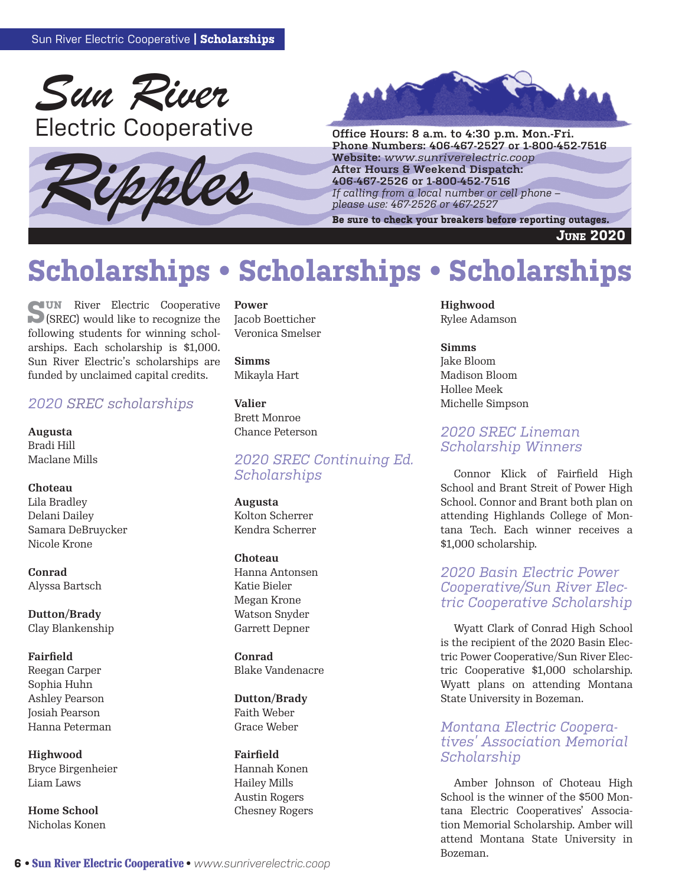





**Phone Numbers: 406-467-2527 or 1-800-452-7516 Website:** *www.sunriverelectric.coop* **After Hours & Weekend Dispatch: 406-467-2526 or 1-800-452-7516** *If calling from a local number or cell phone –*  Phone Numbers: 406-467-2527 or 1-800-452-7516<br>Website: www.sunriverelectric.coop<br>After Hours & Weekend Dispatch:<br>406-467-2526 or 1-800-452-7516<br>If calling from a local number or cell phone –<br>Be sure to check your breakers

**June 2020**

# **Scholarships • Scholarships • Scholarships**

**SUN** River Electric Cooperative (SREC) would like to recognize the following students for winning scholarships. Each scholarship is \$1,000. Sun River Electric's scholarships are funded by unclaimed capital credits.

#### *2020 SREC scholarships*

**Augusta** Bradi Hill Maclane Mills

#### **Choteau**

Lila Bradley Delani Dailey Samara DeBruycker Nicole Krone

**Conrad** Alyssa Bartsch

**Dutton/Brady** Clay Blankenship

### **Fairfield**

Reegan Carper Sophia Huhn Ashley Pearson Josiah Pearson Hanna Peterman

**Highwood** Bryce Birgenheier Liam Laws

**Home School** Nicholas Konen

#### **Power**

Jacob Boetticher Veronica Smelser

**Simms** Mikayla Hart

**Valier** Brett Monroe Chance Peterson

#### *2020 SREC Continuing Ed. Scholarships*

**Augusta** Kolton Scherrer Kendra Scherrer

**Choteau** Hanna Antonsen Katie Bieler Megan Krone Watson Snyder Garrett Depner

**Conrad** Blake Vandenacre

**Dutton/Brady** Faith Weber Grace Weber

**Fairfield** Hannah Konen Hailey Mills Austin Rogers Chesney Rogers **Highwood** Rylee Adamson

**Simms** Jake Bloom Madison Bloom Hollee Meek Michelle Simpson

#### *2020 SREC Lineman Scholarship Winners*

Connor Klick of Fairfield High School and Brant Streit of Power High School. Connor and Brant both plan on attending Highlands College of Montana Tech. Each winner receives a \$1,000 scholarship.

#### *2020 Basin Electric Power Cooperative/Sun River Electric Cooperative Scholarship*

Wyatt Clark of Conrad High School is the recipient of the 2020 Basin Electric Power Cooperative/Sun River Electric Cooperative \$1,000 scholarship. Wyatt plans on attending Montana State University in Bozeman.

#### *Montana Electric Cooperatives' Association Memorial Scholarship*

Amber Johnson of Choteau High School is the winner of the \$500 Montana Electric Cooperatives' Association Memorial Scholarship. Amber will attend Montana State University in Bozeman.